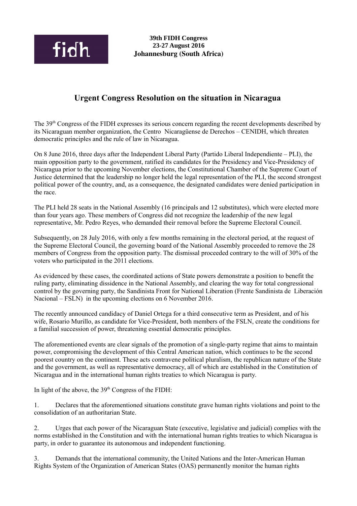

## **Urgent Congress Resolution on the situation in Nicaragua**

The 39th Congress of the FIDH expresses its serious concern regarding the recent developments described by its Nicaraguan member organization, the Centro Nicaragüense de Derechos – CENIDH, which threaten democratic principles and the rule of law in Nicaragua.

On 8 June 2016, three days after the Independent Liberal Party (Partido Liberal Independiente – PLI), the main opposition party to the government, ratified its candidates for the Presidency and Vice-Presidency of Nicaragua prior to the upcoming November elections, the Constitutional Chamber of the Supreme Court of Justice determined that the leadership no longer held the legal representation of the PLI, the second strongest political power of the country, and, as a consequence, the designated candidates were denied participation in the race.

The PLI held 28 seats in the National Assembly (16 principals and 12 substitutes), which were elected more than four years ago. These members of Congress did not recognize the leadership of the new legal representative, Mr. Pedro Reyes, who demanded their removal before the Supreme Electoral Council.

Subsequently, on 28 July 2016, with only a few months remaining in the electoral period, at the request of the Supreme Electoral Council, the governing board of the National Assembly proceeded to remove the 28 members of Congress from the opposition party. The dismissal proceeded contrary to the will of 30% of the voters who participated in the 2011 elections.

As evidenced by these cases, the coordinated actions of State powers demonstrate a position to benefit the ruling party, eliminating dissidence in the National Assembly, and clearing the way for total congressional control by the governing party, the Sandinista Front for National Liberation (Frente Sandinista de Liberación Nacional – FSLN) in the upcoming elections on 6 November 2016.

The recently announced candidacy of Daniel Ortega for a third consecutive term as President, and of his wife, Rosario Murillo, as candidate for Vice-President, both members of the FSLN, create the conditions for a familial succession of power, threatening essential democratic principles.

The aforementioned events are clear signals of the promotion of a single-party regime that aims to maintain power, compromising the development of this Central American nation, which continues to be the second poorest country on the continent. These acts contravene political pluralism, the republican nature of the State and the government, as well as representative democracy, all of which are established in the Constitution of Nicaragua and in the international human rights treaties to which Nicaragua is party.

In light of the above, the  $39<sup>th</sup>$  Congress of the FIDH:

1. Declares that the aforementioned situations constitute grave human rights violations and point to the consolidation of an authoritarian State.

2. Urges that each power of the Nicaraguan State (executive, legislative and judicial) complies with the norms established in the Constitution and with the international human rights treaties to which Nicaragua is party, in order to guarantee its autonomous and independent functioning.

3. Demands that the international community, the United Nations and the Inter-American Human Rights System of the Organization of American States (OAS) permanently monitor the human rights